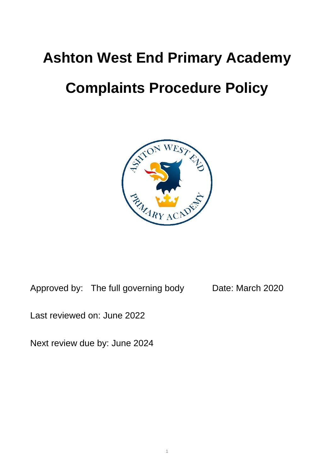# **Ashton West End Primary Academy**

# **Complaints Procedure Policy**



Approved by: The full governing body Date: March 2020

Last reviewed on: June 2022

Next review due by: June 2024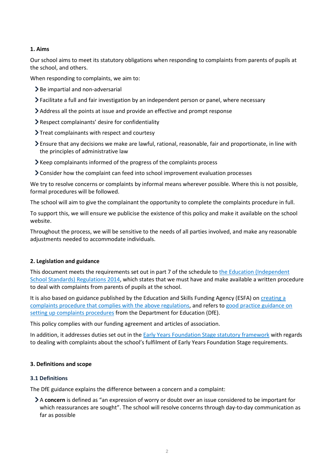# **1. Aims**

Our school aims to meet its statutory obligations when responding to complaints from parents of pupils at the school, and others.

When responding to complaints, we aim to:

- $\geq$  Be impartial and non-adversarial
- Facilitate a full and fair investigation by an independent person or panel, where necessary
- Address all the points at issue and provide an effective and prompt response
- Respect complainants' desire for confidentiality
- $\sum$  Treat complainants with respect and courtesy
- Ensure that any decisions we make are lawful, rational, reasonable, fair and proportionate, in line with the principles of administrative law
- Keep complainants informed of the progress of the complaints process
- Consider how the complaint can feed into school improvement evaluation processes

We try to resolve concerns or complaints by informal means wherever possible. Where this is not possible, formal procedures will be followed.

The school will aim to give the complainant the opportunity to complete the complaints procedure in full.

To support this, we will ensure we publicise the existence of this policy and make it available on the school website.

Throughout the process, we will be sensitive to the needs of all parties involved, and make any reasonable adjustments needed to accommodate individuals.

# **2. Legislation and guidance**

This document meets the requirements set out in part 7 of the schedule to the Education (Independent [School Standards\) Regulations 2014,](http://www.legislation.gov.uk/uksi/2014/3283/schedule/made) which states that we must have and make available a written procedure to deal with complaints from parents of pupils at the school.

It is also based on guidance published by the Education and Skills Funding Agency (ESFA) o[n creating a](https://www.gov.uk/government/publications/setting-up-an-academies-complaints-procedure)  [complaints procedure that complies with the above regulations,](https://www.gov.uk/government/publications/setting-up-an-academies-complaints-procedure) and refers t[o good practice guidance on](https://www.gov.uk/government/publications/school-complaints-procedures)  [setting up complaints procedures](https://www.gov.uk/government/publications/school-complaints-procedures) from the Department for Education (DfE).

This policy complies with our funding agreement and articles of association.

In addition, it addresses duties set out in the [Early Years Foundation Stage statutory framework](https://www.gov.uk/government/publications/early-years-foundation-stage-framework--2) with regards to dealing with complaints about the school's fulfilment of Early Years Foundation Stage requirements.

#### **3. Definitions and scope**

#### **3.1 Definitions**

The DfE guidance explains the difference between a concern and a complaint:

A **concern** is defined as "an expression of worry or doubt over an issue considered to be important for which reassurances are sought". The school will resolve concerns through day-to-day communication as far as possible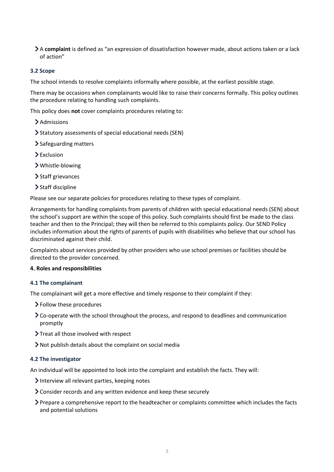A **complaint** is defined as "an expression of dissatisfaction however made, about actions taken or a lack of action"

# **3.2 Scope**

The school intends to resolve complaints informally where possible, at the earliest possible stage.

There may be occasions when complainants would like to raise their concerns formally. This policy outlines the procedure relating to handling such complaints.

This policy does **not** cover complaints procedures relating to:

- > Admissions
- Statutory assessments of special educational needs (SEN)
- > Safeguarding matters
- > Exclusion
- Whistle-blowing
- > Staff grievances
- > Staff discipline

Please see our separate policies for procedures relating to these types of complaint.

Arrangements for handling complaints from parents of children with special educational needs (SEN) about the school's support are within the scope of this policy. Such complaints should first be made to the class teacher and then to the Principal; they will then be referred to this complaints policy. Our SEND Policy includes information about the rights of parents of pupils with disabilities who believe that our school has discriminated against their child.

Complaints about services provided by other providers who use school premises or facilities should be directed to the provider concerned.

#### **4. Roles and responsibilities**

#### **4.1 The complainant**

The complainant will get a more effective and timely response to their complaint if they:

- Follow these procedures
- Co-operate with the school throughout the process, and respond to deadlines and communication promptly
- > Treat all those involved with respect
- Not publish details about the complaint on social media

#### **4.2 The investigator**

An individual will be appointed to look into the complaint and establish the facts. They will:

- Interview all relevant parties, keeping notes
- Consider records and any written evidence and keep these securely
- Prepare a comprehensive report to the headteacher or complaints committee which includes the facts and potential solutions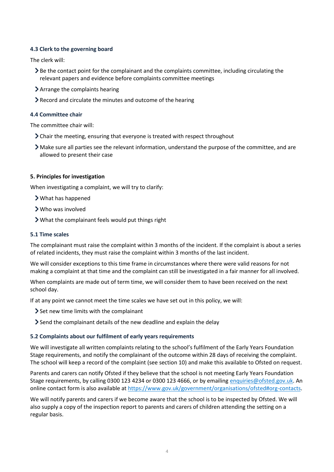# **4.3 Clerk to the governing board**

The clerk will:

- Be the contact point for the complainant and the complaints committee, including circulating the relevant papers and evidence before complaints committee meetings
- Arrange the complaints hearing
- Record and circulate the minutes and outcome of the hearing

# **4.4 Committee chair**

The committee chair will:

- Chair the meeting, ensuring that everyone is treated with respect throughout
- Make sure all parties see the relevant information, understand the purpose of the committee, and are allowed to present their case

# **5. Principles for investigation**

When investigating a complaint, we will try to clarify:

- What has happened
- Who was involved
- What the complainant feels would put things right

# **5.1 Time scales**

The complainant must raise the complaint within 3 months of the incident. If the complaint is about a series of related incidents, they must raise the complaint within 3 months of the last incident.

We will consider exceptions to this time frame in circumstances where there were valid reasons for not making a complaint at that time and the complaint can still be investigated in a fair manner for all involved.

When complaints are made out of term time, we will consider them to have been received on the next school day.

If at any point we cannot meet the time scales we have set out in this policy, we will:

- Set new time limits with the complainant
- $\geq$  Send the complainant details of the new deadline and explain the delay

#### **5.2 Complaints about our fulfilment of early years requirements**

We will investigate all written complaints relating to the school's fulfilment of the Early Years Foundation Stage requirements, and notify the complainant of the outcome within 28 days of receiving the complaint. The school will keep a record of the complaint (see section 10) and make this available to Ofsted on request.

Parents and carers can notify Ofsted if they believe that the school is not meeting Early Years Foundation Stage requirements, by calling 0300 123 4234 or 0300 123 4666, or by emailing [enquiries@ofsted.gov.uk.](mailto:enquiries@ofsted.gov.uk) An online contact form is also available a[t https://www.gov.uk/government/organisations/ofsted#org-contacts.](https://www.gov.uk/government/organisations/ofsted#org-contacts)

We will notify parents and carers if we become aware that the school is to be inspected by Ofsted. We will also supply a copy of the inspection report to parents and carers of children attending the setting on a regular basis.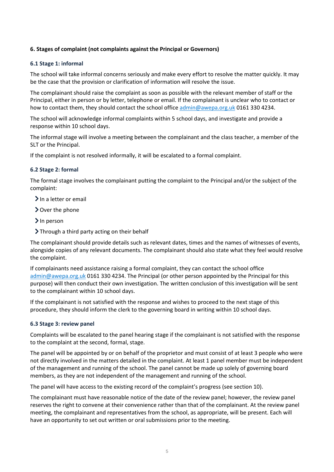# **6. Stages of complaint (not complaints against the Principal or Governors)**

# **6.1 Stage 1: informal**

The school will take informal concerns seriously and make every effort to resolve the matter quickly. It may be the case that the provision or clarification of information will resolve the issue.

The complainant should raise the complaint as soon as possible with the relevant member of staff or the Principal, either in person or by letter, telephone or email. If the complainant is unclear who to contact or how to contact them, they should contact the school office [admin@awepa.org.uk](mailto:admin@awepa.org.uk) 0161 330 4234.

The school will acknowledge informal complaints within 5 school days, and investigate and provide a response within 10 school days.

The informal stage will involve a meeting between the complainant and the class teacher, a member of the SLT or the Principal.

If the complaint is not resolved informally, it will be escalated to a formal complaint.

# **6.2 Stage 2: formal**

The formal stage involves the complainant putting the complaint to the Principal and/or the subject of the complaint:

- $\sum$  In a letter or email
- Over the phone
- > In person
- Through a third party acting on their behalf

The complainant should provide details such as relevant dates, times and the names of witnesses of events, alongside copies of any relevant documents. The complainant should also state what they feel would resolve the complaint.

If complainants need assistance raising a formal complaint, they can contact the school office [admin@awepa.org.uk](mailto:admin@awepa.org.uk) 0161 330 4234. The Principal (or other person appointed by the Principal for this purpose) will then conduct their own investigation. The written conclusion of this investigation will be sent to the complainant within 10 school days.

If the complainant is not satisfied with the response and wishes to proceed to the next stage of this procedure, they should inform the clerk to the governing board in writing within 10 school days.

#### **6.3 Stage 3: review panel**

Complaints will be escalated to the panel hearing stage if the complainant is not satisfied with the response to the complaint at the second, formal, stage.

The panel will be appointed by or on behalf of the proprietor and must consist of at least 3 people who were not directly involved in the matters detailed in the complaint. At least 1 panel member must be independent of the management and running of the school. The panel cannot be made up solely of governing board members, as they are not independent of the management and running of the school.

The panel will have access to the existing record of the complaint's progress (see section 10).

The complainant must have reasonable notice of the date of the review panel; however, the review panel reserves the right to convene at their convenience rather than that of the complainant. At the review panel meeting, the complainant and representatives from the school, as appropriate, will be present. Each will have an opportunity to set out written or oral submissions prior to the meeting.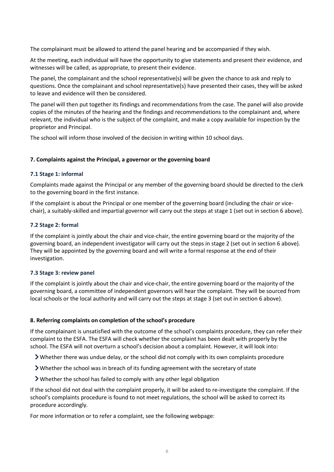The complainant must be allowed to attend the panel hearing and be accompanied if they wish.

At the meeting, each individual will have the opportunity to give statements and present their evidence, and witnesses will be called, as appropriate, to present their evidence.

The panel, the complainant and the school representative(s) will be given the chance to ask and reply to questions. Once the complainant and school representative(s) have presented their cases, they will be asked to leave and evidence will then be considered.

The panel will then put together its findings and recommendations from the case. The panel will also provide copies of the minutes of the hearing and the findings and recommendations to the complainant and, where relevant, the individual who is the subject of the complaint, and make a copy available for inspection by the proprietor and Principal.

The school will inform those involved of the decision in writing within 10 school days.

# **7. Complaints against the Principal, a governor or the governing board**

# **7.1 Stage 1: informal**

Complaints made against the Principal or any member of the governing board should be directed to the clerk to the governing board in the first instance.

If the complaint is about the Principal or one member of the governing board (including the chair or vicechair), a suitably-skilled and impartial governor will carry out the steps at stage 1 (set out in section 6 above).

# **7.2 Stage 2: formal**

If the complaint is jointly about the chair and vice-chair, the entire governing board or the majority of the governing board, an independent investigator will carry out the steps in stage 2 (set out in section 6 above). They will be appointed by the governing board and will write a formal response at the end of their investigation.

#### **7.3 Stage 3: review panel**

If the complaint is jointly about the chair and vice-chair, the entire governing board or the majority of the governing board, a committee of independent governors will hear the complaint. They will be sourced from local schools or the local authority and will carry out the steps at stage 3 (set out in section 6 above).

#### **8. Referring complaints on completion of the school's procedure**

If the complainant is unsatisfied with the outcome of the school's complaints procedure, they can refer their complaint to the ESFA. The ESFA will check whether the complaint has been dealt with properly by the school. The ESFA will not overturn a school's decision about a complaint. However, it will look into:

Whether there was undue delay, or the school did not comply with its own complaints procedure

- Whether the school was in breach of its funding agreement with the secretary of state
- Whether the school has failed to comply with any other legal obligation

If the school did not deal with the complaint properly, it will be asked to re-investigate the complaint. If the school's complaints procedure is found to not meet regulations, the school will be asked to correct its procedure accordingly.

For more information or to refer a complaint, see the following webpage: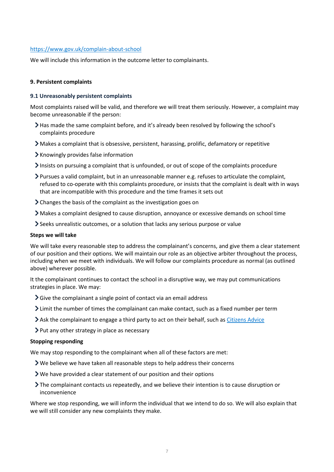### <https://www.gov.uk/complain-about-school>

We will include this information in the outcome letter to complainants.

#### **9. Persistent complaints**

#### **9.1 Unreasonably persistent complaints**

Most complaints raised will be valid, and therefore we will treat them seriously. However, a complaint may become unreasonable if the person:

- Has made the same complaint before, and it's already been resolved by following the school's complaints procedure
- Makes a complaint that is obsessive, persistent, harassing, prolific, defamatory or repetitive
- Knowingly provides false information
- Insists on pursuing a complaint that is unfounded, or out of scope of the complaints procedure
- Pursues a valid complaint, but in an unreasonable manner e.g. refuses to articulate the complaint, refused to co-operate with this complaints procedure, or insists that the complaint is dealt with in ways that are incompatible with this procedure and the time frames it sets out
- Changes the basis of the complaint as the investigation goes on
- Makes a complaint designed to cause disruption, annoyance or excessive demands on school time
- Seeks unrealistic outcomes, or a solution that lacks any serious purpose or value

#### **Steps we will take**

We will take every reasonable step to address the complainant's concerns, and give them a clear statement of our position and their options. We will maintain our role as an objective arbiter throughout the process, including when we meet with individuals. We will follow our complaints procedure as normal (as outlined above) wherever possible.

It the complainant continues to contact the school in a disruptive way, we may put communications strategies in place. We may:

- $\sum$  Give the complainant a single point of contact via an email address
- Limit the number of times the complainant can make contact, such as a fixed number per term
- Ask the complainant to engage a third party to act on their behalf, such as [Citizens Advice](https://www.citizensadvice.org.uk/)
- $\triangleright$  Put any other strategy in place as necessary

#### **Stopping responding**

We may stop responding to the complainant when all of these factors are met:

- We believe we have taken all reasonable steps to help address their concerns
- We have provided a clear statement of our position and their options
- The complainant contacts us repeatedly, and we believe their intention is to cause disruption or inconvenience

Where we stop responding, we will inform the individual that we intend to do so. We will also explain that we will still consider any new complaints they make.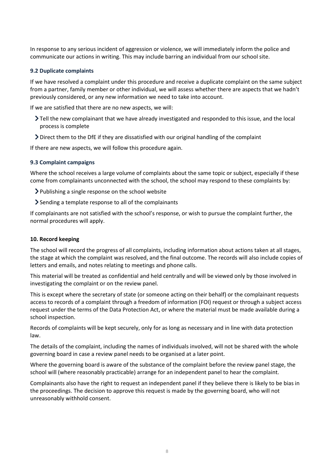In response to any serious incident of aggression or violence, we will immediately inform the police and communicate our actions in writing. This may include barring an individual from our school site.

#### **9.2 Duplicate complaints**

If we have resolved a complaint under this procedure and receive a duplicate complaint on the same subject from a partner, family member or other individual, we will assess whether there are aspects that we hadn't previously considered, or any new information we need to take into account.

If we are satisfied that there are no new aspects, we will:

- Tell the new complainant that we have already investigated and responded to this issue, and the local process is complete
- Direct them to the DfE if they are dissatisfied with our original handling of the complaint

If there are new aspects, we will follow this procedure again.

#### **9.3 Complaint campaigns**

Where the school receives a large volume of complaints about the same topic or subject, especially if these come from complainants unconnected with the school, the school may respond to these complaints by:

- Publishing a single response on the school website
- Sending a template response to all of the complainants

If complainants are not satisfied with the school's response, or wish to pursue the complaint further, the normal procedures will apply.

#### **10. Record keeping**

The school will record the progress of all complaints, including information about actions taken at all stages, the stage at which the complaint was resolved, and the final outcome. The records will also include copies of letters and emails, and notes relating to meetings and phone calls.

This material will be treated as confidential and held centrally and will be viewed only by those involved in investigating the complaint or on the review panel.

This is except where the secretary of state (or someone acting on their behalf) or the complainant requests access to records of a complaint through a freedom of information (FOI) request or through a subject access request under the terms of the Data Protection Act, or where the material must be made available during a school inspection.

Records of complaints will be kept securely, only for as long as necessary and in line with data protection law.

The details of the complaint, including the names of individuals involved, will not be shared with the whole governing board in case a review panel needs to be organised at a later point.

Where the governing board is aware of the substance of the complaint before the review panel stage, the school will (where reasonably practicable) arrange for an independent panel to hear the complaint.

Complainants also have the right to request an independent panel if they believe there is likely to be bias in the proceedings. The decision to approve this request is made by the governing board, who will not unreasonably withhold consent.